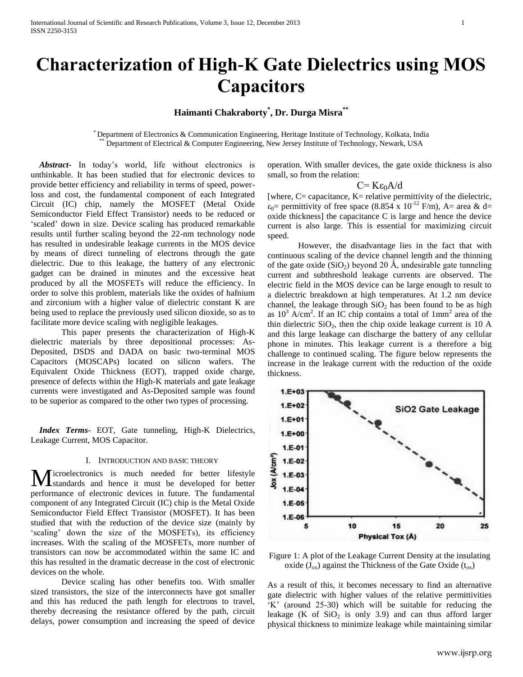# **Characterization of High-K Gate Dielectrics using MOS Capacitors**

# **Haimanti Chakraborty\* , Dr. Durga Misra\*\***

\* Department of Electronics & Communication Engineering, Heritage Institute of Technology, Kolkata, India Department of Electrical & Computer Engineering, New Jersey Institute of Technology, Newark, USA

 *Abstract***-** In today's world, life without electronics is unthinkable. It has been studied that for electronic devices to provide better efficiency and reliability in terms of speed, powerloss and cost, the fundamental component of each Integrated Circuit (IC) chip, namely the MOSFET (Metal Oxide Semiconductor Field Effect Transistor) needs to be reduced or 'scaled' down in size. Device scaling has produced remarkable results until further scaling beyond the 22-nm technology node has resulted in undesirable leakage currents in the MOS device by means of direct tunneling of electrons through the gate dielectric. Due to this leakage, the battery of any electronic gadget can be drained in minutes and the excessive heat produced by all the MOSFETs will reduce the efficiency. In order to solve this problem, materials like the oxides of hafnium and zirconium with a higher value of dielectric constant K are being used to replace the previously used silicon dioxide, so as to facilitate more device scaling with negligible leakages.

This paper presents the characterization of High-K dielectric materials by three depositional processes: As-Deposited, DSDS and DADA on basic two-terminal MOS Capacitors (MOSCAPs) located on silicon wafers. The Equivalent Oxide Thickness (EOT), trapped oxide charge, presence of defects within the High-K materials and gate leakage currents were investigated and As-Deposited sample was found to be superior as compared to the other two types of processing.

 *Index Terms*- EOT, Gate tunneling, High-K Dielectrics, Leakage Current, MOS Capacitor.

#### I. INTRODUCTION AND BASIC THEORY

icroelectronics is much needed for better lifestyle Microelectronics is much needed for better lifestyle<br>
standards and hence it must be developed for better performance of electronic devices in future. The fundamental component of any Integrated Circuit (IC) chip is the Metal Oxide Semiconductor Field Effect Transistor (MOSFET). It has been studied that with the reduction of the device size (mainly by 'scaling' down the size of the MOSFETs), its efficiency increases. With the scaling of the MOSFETs, more number of transistors can now be accommodated within the same IC and this has resulted in the dramatic decrease in the cost of electronic devices on the whole.

Device scaling has other benefits too. With smaller sized transistors, the size of the interconnects have got smaller and this has reduced the path length for electrons to travel, thereby decreasing the resistance offered by the path, circuit delays, power consumption and increasing the speed of device operation. With smaller devices, the gate oxide thickness is also small, so from the relation:

$$
C = K \epsilon_0 A/d
$$

[where,  $C =$  capacitance,  $K =$  relative permittivity of the dielectric,  $\varepsilon_0$ = permittivity of free space (8.854 x 10<sup>-12</sup> F/m), A= area & d= oxide thickness] the capacitance C is large and hence the device current is also large. This is essential for maximizing circuit speed.

However, the disadvantage lies in the fact that with continuous scaling of the device channel length and the thinning of the gate oxide  $(SiO_2)$  beyond 20 Å, undesirable gate tunneling current and subthreshold leakage currents are observed. The electric field in the MOS device can be large enough to result to a dielectric breakdown at high temperatures. At 1.2 nm device channel, the leakage through  $SiO<sub>2</sub>$  has been found to be as high as  $10^3$  A/cm<sup>2</sup>. If an IC chip contains a total of  $1mm^2$  area of the thin dielectric  $SiO<sub>2</sub>$ , then the chip oxide leakage current is 10 A and this large leakage can discharge the battery of any cellular phone in minutes. This leakage current is a therefore a big challenge to continued scaling. The figure below represents the increase in the leakage current with the reduction of the oxide thickness.



Figure 1: A plot of the Leakage Current Density at the insulating oxide ( $J_{ox}$ ) against the Thickness of the Gate Oxide ( $t_{ox}$ )

As a result of this, it becomes necessary to find an alternative gate dielectric with higher values of the relative permittivities 'K' (around 25-30) which will be suitable for reducing the leakage (K of  $SiO<sub>2</sub>$  is only 3.9) and can thus afford larger physical thickness to minimize leakage while maintaining similar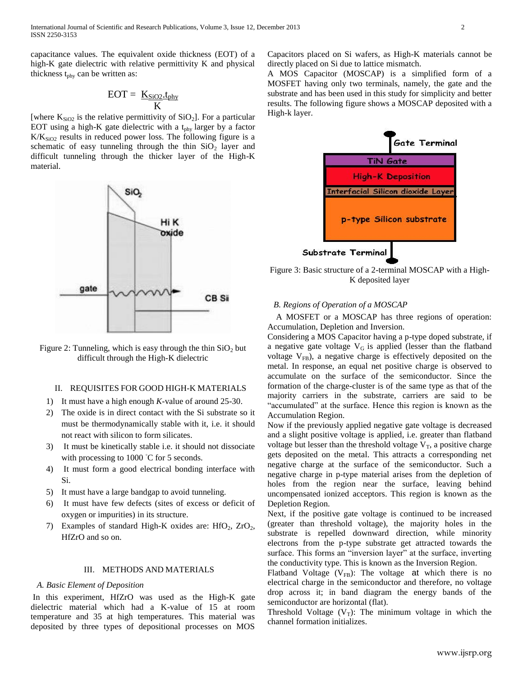capacitance values. The equivalent oxide thickness (EOT) of a high-K gate dielectric with relative permittivity K and physical thickness  $t_{phy}$  can be written as:

$$
EOT = \frac{K_{SiO2}.t_{phy}}{K}
$$

[where  $K<sub>SiO2</sub>$  is the relative permittivity of  $SiO<sub>2</sub>$ ]. For a particular EOT using a high-K gate dielectric with a  $t_{phy}$  larger by a factor  $K/K<sub>SiO2</sub>$  results in reduced power loss. The following figure is a schematic of easy tunneling through the thin  $SiO<sub>2</sub>$  layer and difficult tunneling through the thicker layer of the High-K material.

SiO<sub>2</sub> Hi K oxide gate CB Si

Figure 2: Tunneling, which is easy through the thin  $SiO<sub>2</sub>$  but difficult through the High-K dielectric

#### II. REQUISITES FOR GOOD HIGH-K MATERIALS

- 1) It must have a high enough *K*-value of around 25-30.
- 2) The oxide is in direct contact with the Si substrate so it must be thermodynamically stable with it, i.e. it should not react with silicon to form silicates.
- 3) It must be kinetically stable i.e. it should not dissociate with processing to 1000 *◦*C for 5 seconds.
- 4) It must form a good electrical bonding interface with Si.
- 5) It must have a large bandgap to avoid tunneling.
- It must have few defects (sites of excess or deficit of oxygen or impurities) in its structure.
- 7) Examples of standard High-K oxides are:  $HfO<sub>2</sub>$ ,  $ZrO<sub>2</sub>$ , HfZrO and so on.

# III. METHODS AND MATERIALS

#### *A. Basic Element of Deposition*

In this experiment, HfZrO was used as the High-K gate dielectric material which had a K-value of 15 at room temperature and 35 at high temperatures. This material was deposited by three types of depositional processes on MOS

Capacitors placed on Si wafers, as High-K materials cannot be directly placed on Si due to lattice mismatch.

A MOS Capacitor (MOSCAP) is a simplified form of a MOSFET having only two terminals, namely, the gate and the substrate and has been used in this study for simplicity and better results. The following figure shows a MOSCAP deposited with a High-k layer.



Figure 3: Basic structure of a 2-terminal MOSCAP with a High-K deposited layer

#### *B. Regions of Operation of a MOSCAP*

 A MOSFET or a MOSCAP has three regions of operation: Accumulation, Depletion and Inversion.

Considering a MOS Capacitor having a p-type doped substrate, if a negative gate voltage  $V_G$  is applied (lesser than the flatband voltage  $V_{FB}$ ), a negative charge is effectively deposited on the metal. In response, an equal net positive charge is observed to accumulate on the surface of the semiconductor. Since the formation of the charge-cluster is of the same type as that of the majority carriers in the substrate, carriers are said to be "accumulated" at the surface. Hence this region is known as the Accumulation Region.

Now if the previously applied negative gate voltage is decreased and a slight positive voltage is applied, i.e. greater than flatband voltage but lesser than the threshold voltage  $V_T$ , a positive charge gets deposited on the metal. This attracts a corresponding net negative charge at the surface of the semiconductor. Such a negative charge in p-type material arises from the depletion of holes from the region near the surface, leaving behind uncompensated ionized acceptors. This region is known as the Depletion Region.

Next, if the positive gate voltage is continued to be increased (greater than threshold voltage), the majority holes in the substrate is repelled downward direction, while minority electrons from the p-type substrate get attracted towards the surface. This forms an "inversion layer" at the surface, inverting the conductivity type. This is known as the Inversion Region.

Flatband Voltage ( $V_{FB}$ ): The voltage at which there is no electrical charge in the semiconductor and therefore, no voltage drop across it; in band diagram the energy bands of the semiconductor are horizontal (flat).

Threshold Voltage  $(V_T)$ : The minimum voltage in which the channel formation initializes.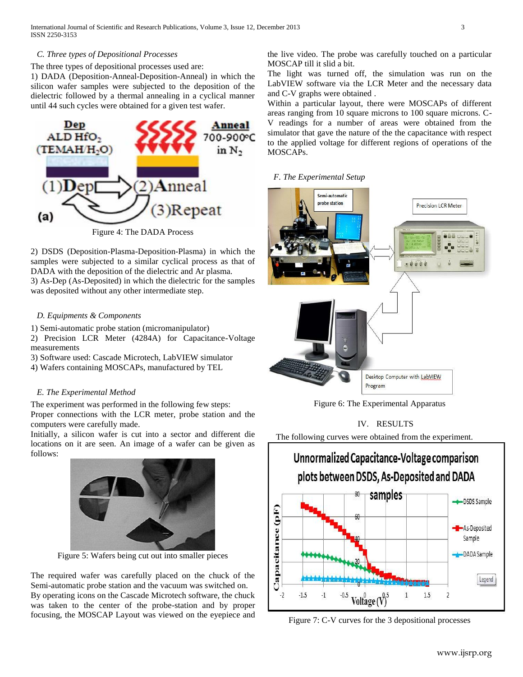#### *C. Three types of Depositional Processes*

#### The three types of depositional processes used are:

1) DADA (Deposition-Anneal-Deposition-Anneal) in which the silicon wafer samples were subjected to the deposition of the dielectric followed by a thermal annealing in a cyclical manner until 44 such cycles were obtained for a given test wafer.



Figure 4: The DADA Process

2) DSDS (Deposition-Plasma-Deposition-Plasma) in which the samples were subjected to a similar cyclical process as that of DADA with the deposition of the dielectric and Ar plasma. 3) As-Dep (As-Deposited) in which the dielectric for the samples was deposited without any other intermediate step.

#### *D. Equipments & Components*

1) Semi-automatic probe station (micromanipulator)

2) Precision LCR Meter (4284A) for Capacitance-Voltage measurements

3) Software used: Cascade Microtech, LabVIEW simulator

4) Wafers containing MOSCAPs, manufactured by TEL

#### *E. The Experimental Method*

The experiment was performed in the following few steps:

Proper connections with the LCR meter, probe station and the computers were carefully made.

Initially, a silicon wafer is cut into a sector and different die locations on it are seen. An image of a wafer can be given as follows:



Figure 5: Wafers being cut out into smaller pieces

The required wafer was carefully placed on the chuck of the Semi-automatic probe station and the vacuum was switched on. By operating icons on the Cascade Microtech software, the chuck was taken to the center of the probe-station and by proper focusing, the MOSCAP Layout was viewed on the eyepiece and the live video. The probe was carefully touched on a particular MOSCAP till it slid a bit.

The light was turned off, the simulation was run on the LabVIEW software via the LCR Meter and the necessary data and C-V graphs were obtained .

Within a particular layout, there were MOSCAPs of different areas ranging from 10 square microns to 100 square microns. C-V readings for a number of areas were obtained from the simulator that gave the nature of the the capacitance with respect to the applied voltage for different regions of operations of the MOSCAPs.

#### *F. The Experimental Setup*



Figure 6: The Experimental Apparatus

IV. RESULTS

The following curves were obtained from the experiment.

# Unnormalized Capacitance-Voltage comparison plots between DSDS, As-Deposited and DADA samples 80 -DSDS Sample Capacitance (pF -As-Deposited Sample -DADA Sample Legend  $-2$  $\overline{2}$  $-1.5$  $-1$  $\mathbf{1}$ 1.5 Voltage  $(V)$

Figure 7: C-V curves for the 3 depositional processes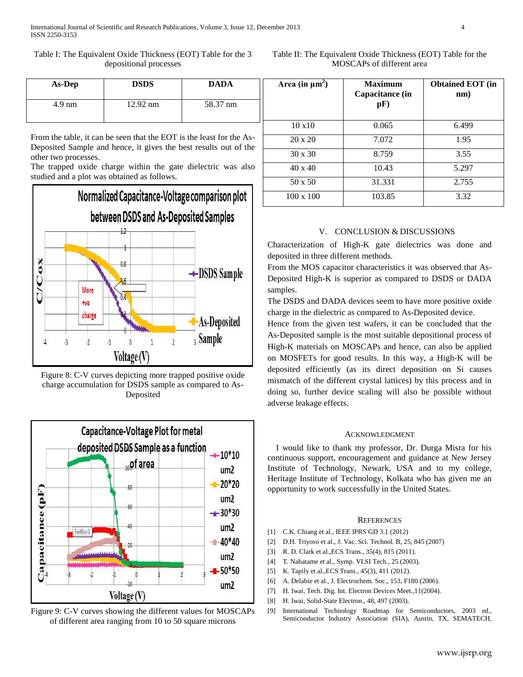Table I: The Equivalent Oxide Thickness (EOT) Table for the 3 depositional processes

Table II: The Equivalent Oxide Thickness (EOT) Table for the MOSCAPs of different area

| As-Dep           | <b>DSDS</b>        | <b>DADA</b> |
|------------------|--------------------|-------------|
| $4.9 \text{ nm}$ | $12.92 \text{ nm}$ | 58.37 nm    |

From the table, it can be seen that the EOT is the least for the As-Deposited Sample and hence, it gives the best results out of the other two processes.

The trapped oxide charge within the gate dielectric was also studied and a plot was obtained as follows.



Figure 8: C-V curves depicting more trapped positive oxide charge accumulation for DSDS sample as compared to As-Deposited



Figure 9: C-V curves showing the different values for MOSCAPs of different area ranging from 10 to 50 square microns

| Area (in $\mu$ m <sup>2</sup> ) | <b>Maximum</b><br>Capacitance (in<br>pF) | <b>Obtained EOT</b> (in<br>nm) |
|---------------------------------|------------------------------------------|--------------------------------|
| 10x10                           | 0.065                                    | 6.499                          |
| $20 \times 20$                  | 7.072                                    | 1.95                           |
| $30 \times 30$                  | 8.759                                    | 3.55                           |
| $40 \times 40$                  | 10.43                                    | 5.297                          |
| 50 x 50                         | 31.331                                   | 2.755                          |
| $100 \times 100$                | 103.85                                   | 3.32                           |

# V. CONCLUSION & DISCUSSIONS

Characterization of High-K gate dielectrics was done and deposited in three different methods.

From the MOS capacitor characteristics it was observed that As-Deposited High-K is superior as compared to DSDS or DADA samples.

The DSDS and DADA devices seem to have more positive oxide charge in the dielectric as compared to As-Deposited device.

Hence from the given test wafers, it can be concluded that the As-Deposited sample is the most suitable depositional process of High-K materials on MOSCAPs and hence, can also be applied on MOSFETs for good results. In this way, a High-K will be deposited efficiently (as its direct deposition on Si causes mismatch of the different crystal lattices) by this process and in doing so, further device scaling will also be possible without adverse leakage effects.

## ACKNOWLEDGMENT

I would like to thank my professor, Dr. Durga Misra for his continuous support, encouragement and guidance at New Jersey Institute of Technology, Newark, USA and to my college, Heritage Institute of Technology, Kolkata who has given me an opportunity to work successfully in the United States.

#### **REFERENCES**

- [1] C.K. Chiang et al., IEEE IPRS GD 3.1 (2012)
- [2] D.H. Triyoso et al., J. Vac. Sci. Technol. B, 25, 845 (2007)
- [3] R. D. Clark et al.,ECS Trans., 35(4), 815 (2011).
- [4] T. Nabatame et al., Symp. VLSI Tech., 25 (2003).
- [5] K. Tapily et al.,ECS Trans., 45(3), 411 (2012).
- [6] A. Delabie et al., J. Electrochem. Soc., 153, F180 (2006).
- [7] H. Iwai, Tech. Dig. Int. Electron Devices Meet., 11(2004).
- [8] H. Iwai, Solid-State Electron., 48, 497 (2003).
- [9] International Technology Roadmap for Semiconductors, 2003 ed., Semiconductor Industry Association (SIA), Austin, TX, SEMATECH,